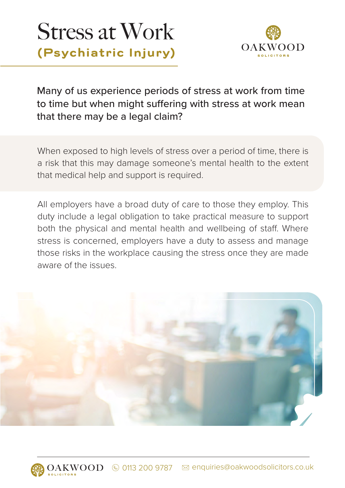# Stress at Work **(Psychiatric Injury)**



Many of us experience periods of stress at work from time to time but when might suffering with stress at work mean that there may be a legal claim?

When exposed to high levels of stress over a period of time, there is a risk that this may damage someone's mental health to the extent that medical help and support is required.

All employers have a broad duty of care to those they employ. This duty include a legal obligation to take practical measure to support both the physical and mental health and wellbeing of staff. Where stress is concerned, employers have a duty to assess and manage those risks in the workplace causing the stress once they are made aware of the issues.

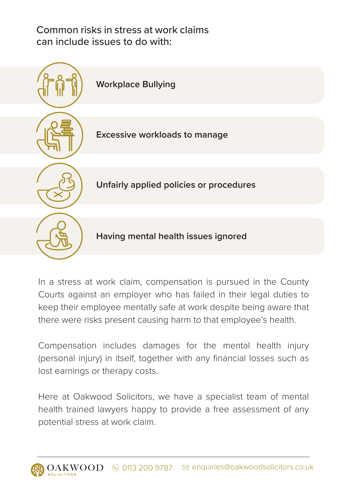Common risks in stress at work claims can include issues to do with:



In a stress at work claim, compensation is pursued in the County Courts against an employer who has failed in their legal duties to keep their employee mentally safe at work despite being aware that there were risks present causing harm to that employee's health.

Compensation includes damages for the mental health injury (personal injury) in itself, together with any financial losses such as lost earnings or therapy costs.

Here at Oakwood Solicitors, we have a specialist team of mental health trained lawyers happy to provide a free assessment of any potential stress at work claim.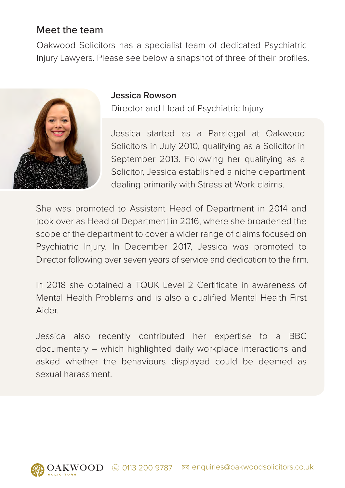## Meet the team

Oakwood Solicitors has a specialist team of dedicated Psychiatric Injury Lawyers. Please see below a snapshot of three of their profiles.



#### **Jessica Rowson**

Director and Head of Psychiatric Injury

Jessica started as a Paralegal at Oakwood Solicitors in July 2010, qualifying as a Solicitor in September 2013. Following her qualifying as a Solicitor, Jessica established a niche department dealing primarily with Stress at Work claims.

She was promoted to Assistant Head of Department in 2014 and took over as Head of Department in 2016, where she broadened the scope of the department to cover a wider range of claims focused on Psychiatric Injury. In December 2017, Jessica was promoted to Director following over seven years of service and dedication to the firm.

In 2018 she obtained a TQUK Level 2 Certificate in awareness of Mental Health Problems and is also a qualified Mental Health First Aider.

Jessica also recently contributed her expertise to a BBC documentary – which highlighted daily workplace interactions and asked whether the behaviours displayed could be deemed as sexual harassment.